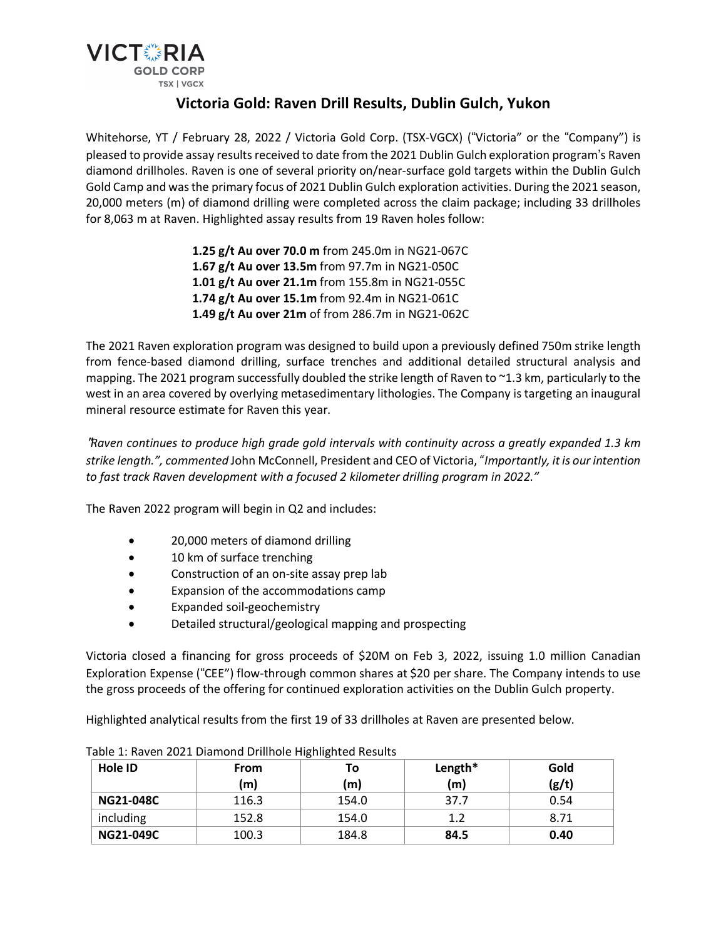

# **Victoria Gold: Raven Drill Results, Dublin Gulch, Yukon**

Whitehorse, YT / February 28, 2022 / Victoria Gold Corp. (TSX-VGCX) ("Victoria" or the "Company") is pleased to provide assay results received to date from the 2021 Dublin Gulch exploration program's Raven diamond drillholes. Raven is one of several priority on/near-surface gold targets within the Dublin Gulch Gold Camp and wasthe primary focus of 2021 Dublin Gulch exploration activities. During the 2021 season, 20,000 meters (m) of diamond drilling were completed across the claim package; including 33 drillholes for 8,063 m at Raven. Highlighted assay results from 19 Raven holes follow:

> **1.25 g/t Au over 70.0 m** from 245.0m in NG21-067C **1.67 g/t Au over 13.5m** from 97.7m in NG21-050C **1.01 g/t Au over 21.1m** from 155.8m in NG21-055C **1.74 g/t Au over 15.1m** from 92.4m in NG21-061C **1.49 g/t Au over 21m** of from 286.7m in NG21-062C

The 2021 Raven exploration program was designed to build upon a previously defined 750m strike length from fence-based diamond drilling, surface trenches and additional detailed structural analysis and mapping. The 2021 program successfully doubled the strike length of Raven to ~1.3 km, particularly to the west in an area covered by overlying metasedimentary lithologies. The Company is targeting an inaugural mineral resource estimate for Raven this year.

"*Raven continues to produce high grade gold intervals with continuity across a greatly expanded 1.3 km strike length.", commented* John McConnell, President and CEOof Victoria," *Importantly, itis our intention to fast track Raven development with a focused 2 kilometer drilling program in 2022."*

The Raven 2022 program will begin in Q2 and includes:

- 20,000 meters of diamond drilling
- 10 km of surface trenching
- Construction of an on-site assay prep lab
- Expansion of the accommodations camp
- Expanded soil-geochemistry
- Detailed structural/geological mapping and prospecting

Victoria closed a financing for gross proceeds of \$20M on Feb 3, 2022, issuing 1.0 million Canadian Exploration Expense ("CEE") flow-through common shares at \$20 per share. The Company intends to use the gross proceeds of the offering for continued exploration activities on the Dublin Gulch property.

Highlighted analytical results from the first 19 of 33 drillholes at Raven are presented below.

| Hole ID          | <b>From</b><br>(m) | Τo<br>m) | Length*<br>(m) | Gold<br>(g/t) |
|------------------|--------------------|----------|----------------|---------------|
| <b>NG21-048C</b> | 116.3              | 154.0    | 37.7           | 0.54          |
| including        | 152.8              | 154.0    | 17             | 8.71          |
| <b>NG21-049C</b> | 100.3              | 184.8    | 84.5           | 0.40          |

Table 1: Raven 2021 Diamond Drillhole Highlighted Results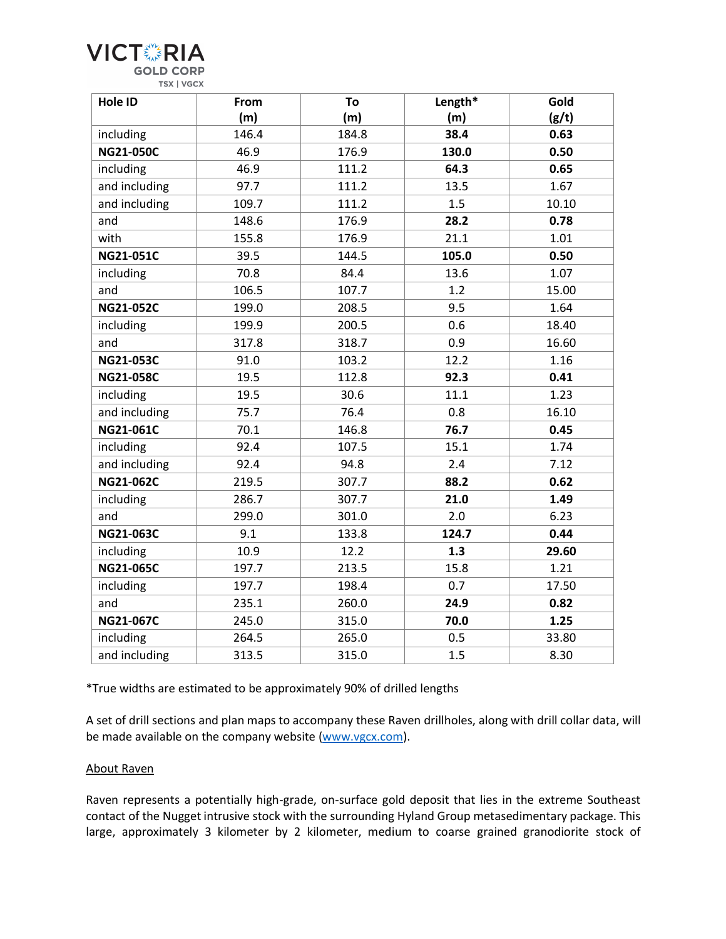

| Hole ID          | From  | To    | Length* | Gold  |
|------------------|-------|-------|---------|-------|
|                  | (m)   | (m)   | (m)     | (g/t) |
| including        | 146.4 | 184.8 | 38.4    | 0.63  |
| <b>NG21-050C</b> | 46.9  | 176.9 | 130.0   | 0.50  |
| including        | 46.9  | 111.2 | 64.3    | 0.65  |
| and including    | 97.7  | 111.2 | 13.5    | 1.67  |
| and including    | 109.7 | 111.2 | 1.5     | 10.10 |
| and              | 148.6 | 176.9 | 28.2    | 0.78  |
| with             | 155.8 | 176.9 | 21.1    | 1.01  |
| <b>NG21-051C</b> | 39.5  | 144.5 | 105.0   | 0.50  |
| including        | 70.8  | 84.4  | 13.6    | 1.07  |
| and              | 106.5 | 107.7 | 1.2     | 15.00 |
| <b>NG21-052C</b> | 199.0 | 208.5 | 9.5     | 1.64  |
| including        | 199.9 | 200.5 | 0.6     | 18.40 |
| and              | 317.8 | 318.7 | 0.9     | 16.60 |
| <b>NG21-053C</b> | 91.0  | 103.2 | 12.2    | 1.16  |
| <b>NG21-058C</b> | 19.5  | 112.8 | 92.3    | 0.41  |
| including        | 19.5  | 30.6  | 11.1    | 1.23  |
| and including    | 75.7  | 76.4  | 0.8     | 16.10 |
| NG21-061C        | 70.1  | 146.8 | 76.7    | 0.45  |
| including        | 92.4  | 107.5 | 15.1    | 1.74  |
| and including    | 92.4  | 94.8  | 2.4     | 7.12  |
| NG21-062C        | 219.5 | 307.7 | 88.2    | 0.62  |
| including        | 286.7 | 307.7 | 21.0    | 1.49  |
| and              | 299.0 | 301.0 | 2.0     | 6.23  |
| NG21-063C        | 9.1   | 133.8 | 124.7   | 0.44  |
| including        | 10.9  | 12.2  | 1.3     | 29.60 |
| NG21-065C        | 197.7 | 213.5 | 15.8    | 1.21  |
| including        | 197.7 | 198.4 | 0.7     | 17.50 |
| and              | 235.1 | 260.0 | 24.9    | 0.82  |
| NG21-067C        | 245.0 | 315.0 | 70.0    | 1.25  |
| including        | 264.5 | 265.0 | 0.5     | 33.80 |
| and including    | 313.5 | 315.0 | 1.5     | 8.30  |

\*True widths are estimated to be approximately 90% of drilled lengths

A set of drill sections and plan maps to accompany these Raven drillholes, along with drill collar data, will be made available on the company website (www.vgcx.com).

#### About Raven

Raven represents a potentially high-grade, on-surface gold deposit that lies in the extreme Southeast contact of the Nugget intrusive stock with the surrounding Hyland Group metasedimentary package. This large, approximately 3 kilometer by 2 kilometer, medium to coarse grained granodiorite stock of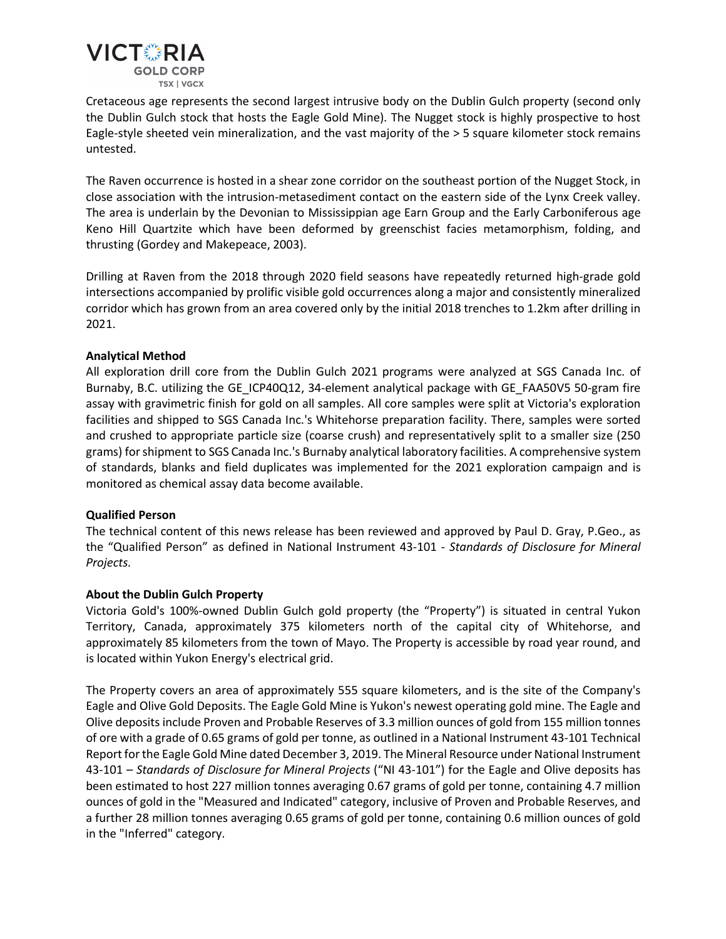

Cretaceous age represents the second largest intrusive body on the Dublin Gulch property (second only the Dublin Gulch stock that hosts the Eagle Gold Mine). The Nugget stock is highly prospective to host Eagle-style sheeted vein mineralization, and the vast majority of the > 5 square kilometer stock remains untested.

The Raven occurrence is hosted in a shear zone corridor on the southeast portion of the Nugget Stock, in close association with the intrusion-metasediment contact on the eastern side of the Lynx Creek valley. The area is underlain by the Devonian to Mississippian age Earn Group and the Early Carboniferous age Keno Hill Quartzite which have been deformed by greenschist facies metamorphism, folding, and thrusting (Gordey and Makepeace, 2003).

Drilling at Raven from the 2018 through 2020 field seasons have repeatedly returned high-grade gold intersections accompanied by prolific visible gold occurrences along a major and consistently mineralized corridor which has grown from an area covered only by the initial 2018 trenches to 1.2km after drilling in 2021.

## **Analytical Method**

All exploration drill core from the Dublin Gulch 2021 programs were analyzed at SGS Canada Inc. of Burnaby, B.C. utilizing the GE\_ICP40Q12, 34-element analytical package with GE\_FAA50V5 50-gram fire assay with gravimetric finish for gold on all samples. All core samples were split at Victoria's exploration facilities and shipped to SGS Canada Inc.'s Whitehorse preparation facility. There, samples were sorted and crushed to appropriate particle size (coarse crush) and representatively split to a smaller size (250 grams) forshipment to SGS Canada Inc.'s Burnaby analytical laboratory facilities. A comprehensive system of standards, blanks and field duplicates was implemented for the 2021 exploration campaign and is monitored as chemical assay data become available.

## **Qualified Person**

The technical content of this news release has been reviewed and approved by Paul D. Gray, P.Geo., as the "Qualified Person" as defined in National Instrument 43-101 - *Standards of Disclosure for Mineral Projects.*

## **About the Dublin Gulch Property**

Victoria Gold's 100%-owned Dublin Gulch gold property (the "Property") is situated in central Yukon Territory, Canada, approximately 375 kilometers north of the capital city of Whitehorse, and approximately 85 kilometers from the town of Mayo. The Property is accessible by road year round, and is located within Yukon Energy's electrical grid.

The Property covers an area of approximately 555 square kilometers, and is the site of the Company's Eagle and Olive Gold Deposits. The Eagle Gold Mine is Yukon's newest operating gold mine. The Eagle and Olive depositsinclude Proven and Probable Reserves of 3.3 million ounces of gold from 155 million tonnes of ore with a grade of 0.65 grams of gold per tonne, as outlined in a National Instrument 43-101 Technical Report for the Eagle Gold Mine dated December 3, 2019. The Mineral Resource under National Instrument 43-101 – *Standards of Disclosure for Mineral Projects* ("NI 43-101") for the Eagle and Olive deposits has been estimated to host 227 million tonnes averaging 0.67 grams of gold per tonne, containing 4.7 million ounces of gold in the "Measured and Indicated" category, inclusive of Proven and Probable Reserves, and a further 28 million tonnes averaging 0.65 grams of gold per tonne, containing 0.6 million ounces of gold in the "Inferred" category.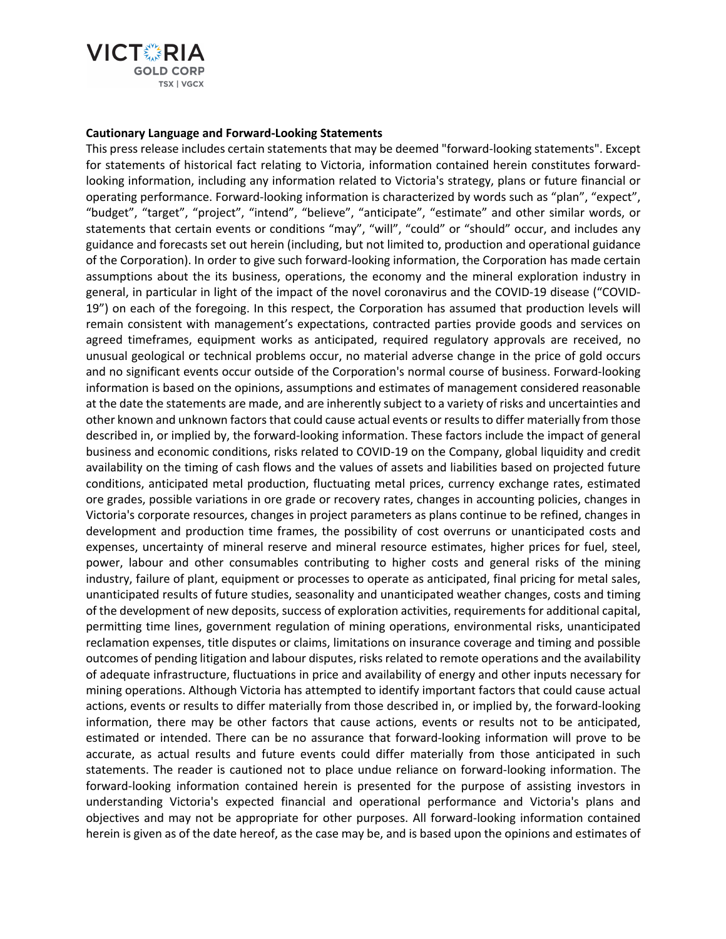

#### **Cautionary Language and Forward-Looking Statements**

This press release includes certain statements that may be deemed "forward-looking statements". Except for statements of historical fact relating to Victoria, information contained herein constitutes forwardlooking information, including any information related to Victoria's strategy, plans or future financial or operating performance. Forward-looking information is characterized by words such as "plan", "expect", "budget", "target", "project", "intend", "believe", "anticipate", "estimate" and other similar words, or statements that certain events or conditions "may", "will", "could" or "should" occur, and includes any guidance and forecasts set out herein (including, but not limited to, production and operational guidance of the Corporation). In order to give such forward-looking information, the Corporation has made certain assumptions about the its business, operations, the economy and the mineral exploration industry in general, in particular in light of the impact of the novel coronavirus and the COVID-19 disease ("COVID-19") on each of the foregoing. In this respect, the Corporation has assumed that production levels will remain consistent with management's expectations, contracted parties provide goods and services on agreed timeframes, equipment works as anticipated, required regulatory approvals are received, no unusual geological or technical problems occur, no material adverse change in the price of gold occurs and no significant events occur outside of the Corporation's normal course of business. Forward-looking information is based on the opinions, assumptions and estimates of management considered reasonable at the date the statements are made, and are inherently subject to a variety of risks and uncertainties and other known and unknown factors that could cause actual events or results to differ materially from those described in, or implied by, the forward-looking information. These factors include the impact of general business and economic conditions, risks related to COVID-19 on the Company, global liquidity and credit availability on the timing of cash flows and the values of assets and liabilities based on projected future conditions, anticipated metal production, fluctuating metal prices, currency exchange rates, estimated ore grades, possible variations in ore grade or recovery rates, changes in accounting policies, changes in Victoria's corporate resources, changes in project parameters as plans continue to be refined, changes in development and production time frames, the possibility of cost overruns or unanticipated costs and expenses, uncertainty of mineral reserve and mineral resource estimates, higher prices for fuel, steel, power, labour and other consumables contributing to higher costs and general risks of the mining industry, failure of plant, equipment or processes to operate as anticipated, final pricing for metal sales, unanticipated results of future studies, seasonality and unanticipated weather changes, costs and timing of the development of new deposits, success of exploration activities, requirements for additional capital, permitting time lines, government regulation of mining operations, environmental risks, unanticipated reclamation expenses, title disputes or claims, limitations on insurance coverage and timing and possible outcomes of pending litigation and labour disputes, risksrelated to remote operations and the availability of adequate infrastructure, fluctuations in price and availability of energy and other inputs necessary for mining operations. Although Victoria has attempted to identify important factors that could cause actual actions, events or results to differ materially from those described in, or implied by, the forward-looking information, there may be other factors that cause actions, events or results not to be anticipated, estimated or intended. There can be no assurance that forward-looking information will prove to be accurate, as actual results and future events could differ materially from those anticipated in such statements. The reader is cautioned not to place undue reliance on forward-looking information. The forward-looking information contained herein is presented for the purpose of assisting investors in understanding Victoria's expected financial and operational performance and Victoria's plans and objectives and may not be appropriate for other purposes. All forward-looking information contained herein is given as of the date hereof, as the case may be, and is based upon the opinions and estimates of